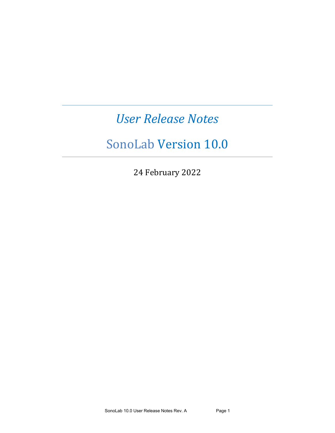# *User Release Notes*

# SonoLab Version 10.0

24 February 2022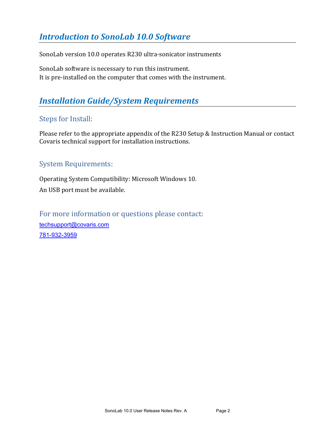# **Introduction to SonoLab 10.0 Software**

SonoLab version 10.0 operates R230 ultra-sonicator instruments

SonoLab software is necessary to run this instrument. It is pre-installed on the computer that comes with the instrument.

# **Installation Guide/System Requirements**

## Steps for Install:

Please refer to the appropriate appendix of the R230 Setup & Instruction Manual or contact Covaris technical support for installation instructions.

## System Requirements:

Operating System Compatibility: Microsoft Windows 10. An USB port must be available.

For more information or questions please contact: [techsupport@covaris.com](mailto:techsupport@covaris.com) 781-932-3959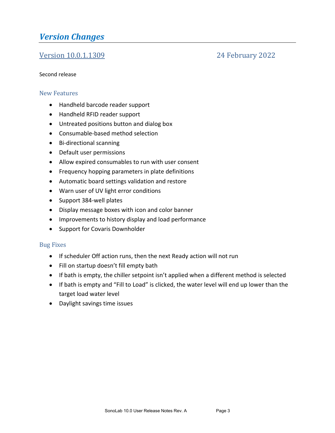## *Version Changes*

## **Version 10.0.1.1309** 24 February 2022

#### Second release

#### New Features

- Handheld barcode reader support
- Handheld RFID reader support
- Untreated positions button and dialog box
- Consumable-based method selection
- Bi-directional scanning
- Default user permissions
- Allow expired consumables to run with user consent
- Frequency hopping parameters in plate definitions
- Automatic board settings validation and restore
- Warn user of UV light error conditions
- Support 384-well plates
- Display message boxes with icon and color banner
- Improvements to history display and load performance
- Support for Covaris Downholder

#### **Bug Fixes**

- If scheduler Off action runs, then the next Ready action will not run
- Fill on startup doesn't fill empty bath
- If bath is empty, the chiller setpoint isn't applied when a different method is selected
- If bath is empty and "Fill to Load" is clicked, the water level will end up lower than the target load water level
- Daylight savings time issues